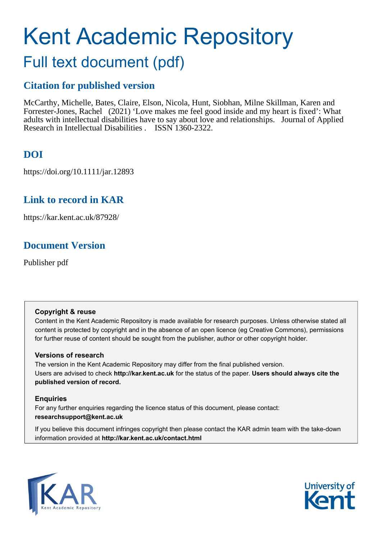# Kent Academic Repository

## Full text document (pdf)

## **Citation for published version**

McCarthy, Michelle, Bates, Claire, Elson, Nicola, Hunt, Siobhan, Milne Skillman, Karen and Forrester-Jones, Rachel (2021) 'Love makes me feel good inside and my heart is fixed': What adults with intellectual disabilities have to say about love and relationships. Journal of Applied Research in Intellectual Disabilities . ISSN 1360-2322.

## **DOI**

https://doi.org/10.1111/jar.12893

## **Link to record in KAR**

https://kar.kent.ac.uk/87928/

## **Document Version**

Publisher pdf

#### **Copyright & reuse**

Content in the Kent Academic Repository is made available for research purposes. Unless otherwise stated all content is protected by copyright and in the absence of an open licence (eg Creative Commons), permissions for further reuse of content should be sought from the publisher, author or other copyright holder.

#### **Versions of research**

The version in the Kent Academic Repository may differ from the final published version. Users are advised to check **http://kar.kent.ac.uk** for the status of the paper. **Users should always cite the published version of record.**

#### **Enquiries**

For any further enquiries regarding the licence status of this document, please contact: **researchsupport@kent.ac.uk**

If you believe this document infringes copyright then please contact the KAR admin team with the take-down information provided at **http://kar.kent.ac.uk/contact.html**



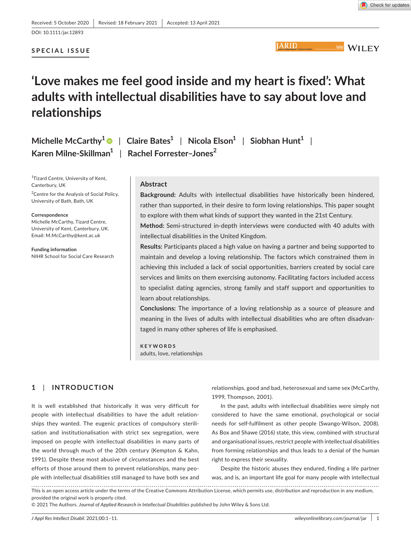DOI: 10.1111/jar.12893

#### **SPECIAL ISSUE**

## **'Love makes me feel good inside and my heart is fixed': What adults with intellectual disabilities have to say about love and relationships**

| Michelle McCarthy <sup>1</sup> $\bullet$   Claire Bates <sup>1</sup>   Nicola Elson <sup>1</sup>   Siobhan Hunt <sup>1</sup> |  |  |
|------------------------------------------------------------------------------------------------------------------------------|--|--|
| Karen Milne-Skillman $1 \mid$ Rachel Forrester-Jones <sup>2</sup>                                                            |  |  |

<sup>1</sup>Tizard Centre, University of Kent, Canterbury, UK

<sup>2</sup> Centre for the Analysis of Social Policy, University of Bath, Bath, UK

#### **Correspondence**

Michelle McCarthy, Tizard Centre, University of Kent, Canterbury, UK. Email: [M.McCarthy@kent.ac.uk](mailto:M.McCarthy@kent.ac.uk)

**Funding information** NIHR School for Social Care Research

#### **Abstract**

**Background:** Adults with intellectual disabilities have historically been hindered, rather than supported, in their desire to form loving relationships. This paper sought to explore with them what kinds of support they wanted in the 21st Century.

**Method:** Semi-structured in-depth interviews were conducted with 40 adults with intellectual disabilities in the United Kingdom.

**Results:** Participants placed a high value on having a partner and being supported to maintain and develop a loving relationship. The factors which constrained them in achieving this included a lack of social opportunities, barriers created by social care services and limits on them exercising autonomy. Facilitating factors included access to specialist dating agencies, strong family and staff support and opportunities to learn about relationships.

**Conclusions:** The importance of a loving relationship as a source of pleasure and meaning in the lives of adults with intellectual disabilities who are often disadvantaged in many other spheres of life is emphasised.

**KEYWORDS** adults, love, relationships

#### **1**  | **INTRODUCTION**

It is well established that historically it was very difficult for people with intellectual disabilities to have the adult relationships they wanted. The eugenic practices of compulsory sterilisation and institutionalisation with strict sex segregation, were imposed on people with intellectual disabilities in many parts of the world through much of the 20th century (Kempton & Kahn, 1991). Despite these most abusive of circumstances and the best efforts of those around them to prevent relationships, many people with intellectual disabilities still managed to have both sex and relationships, good and bad, heterosexual and same sex (McCarthy, 1999, Thompson, 2001).

In the past, adults with intellectual disabilities were simply not considered to have the same emotional, psychological or social needs for self-fulfilment as other people (Swango-Wilson, 2008). As Box and Shawe (2016) state, this view, combined with structural and organisational issues, restrict people with intellectual disabilities from forming relationships and thus leads to a denial of the human right to express their sexuality.

Despite the historic abuses they endured, finding a life partner was, and is, an important life goal for many people with intellectual

This is an open access article under the terms of the [Creative Commons Attribution](http://creativecommons.org/licenses/by/4.0/) License, which permits use, distribution and reproduction in any medium, provided the original work is properly cited.

<sup>© 2021</sup> The Authors. *Journal of Applied Research in Intellectual Disabilities* published by John Wiley & Sons Ltd.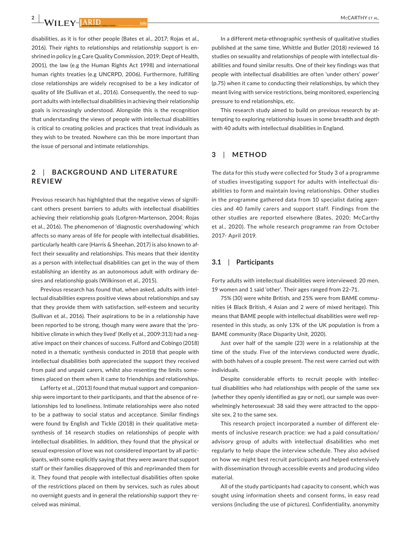**2 <sup>|</sup>** 

disabilities, as it is for other people (Bates et al., 2017; Rojas et al., 2016). Their rights to relationships and relationship support is enshrined in policy (e.g Care Quality Commission, 2019; Dept of Health, 2001), the law (e.g the Human Rights Act 1998) and international human rights treaties (e.g UNCRPD, 2006). Furthermore, fulfilling close relationships are widely recognised to be a key indicator of quality of life (Sullivan et al., 2016). Consequently, the need to support adults with intellectual disabilities in achieving their relationship goals is increasingly understood. Alongside this is the recognition that understanding the views of people with intellectual disabilities is critical to creating policies and practices that treat individuals as they wish to be treated. Nowhere can this be more important than the issue of personal and intimate relationships.

#### **2**  | **BACKGROUND AND LITER ATURE REVIEW**

Previous research has highlighted that the negative views of significant others present barriers to adults with intellectual disabilities achieving their relationship goals (Lofgren-Martenson, 2004; Rojas et al., 2016). The phenomenon of 'diagnostic overshadowing' which affects so many areas of life for people with intellectual disabilities, particularly health care (Harris & Sheehan, 2017) is also known to affect their sexuality and relationships. This means that their identity as a person with intellectual disabilities can get in the way of them establishing an identity as an autonomous adult with ordinary desires and relationship goals (Wilkinson et al., 2015).

Previous research has found that, when asked, adults with intellectual disabilities express positive views about relationships and say that they provide them with satisfaction, self-esteem and security (Sullivan et al., 2016). Their aspirations to be in a relationship have been reported to be strong, though many were aware that the 'prohibitive climate in which they lived' (Kelly et al., 2009:313) had a negative impact on their chances of success. Fulford and Cobingo (2018) noted in a thematic synthesis conducted in 2018 that people with intellectual disabilities both appreciated the support they received from paid and unpaid carers, whilst also resenting the limits sometimes placed on them when it came to friendships and relationships.

Lafferty et al., (2013) found that mutual support and companionship were important to their participants, and that the absence of relationships led to loneliness. Intimate relationships were also noted to be a pathway to social status and acceptance. Similar findings were found by English and Tickle (2018) in their qualitative metasynthesis of 14 research studies on relationships of people with intellectual disabilities. In addition, they found that the physical or sexual expression of love was not considered important by all participants, with some explicitly saying that they were aware that support staff or their families disapproved of this and reprimanded them for it. They found that people with intellectual disabilities often spoke of the restrictions placed on them by services, such as rules about no overnight guests and in general the relationship support they received was minimal.

In a different meta-ethnographic synthesis of qualitative studies published at the same time, Whittle and Butler (2018) reviewed 16 studies on sexuality and relationships of people with intellectual disabilities and found similar results. One of their key findings was that people with intellectual disabilities are often 'under others' power' (p.75) when it came to conducting their relationships, by which they meant living with service restrictions, being monitored, experiencing pressure to end relationships, etc.

This research study aimed to build on previous research by attempting to exploring relationship issues in some breadth and depth with 40 adults with intellectual disabilities in England.

#### **3**  | **METHOD**

The data for this study were collected for Study 3 of a programme of studies investigating support for adults with intellectual disabilities to form and maintain loving relationships. Other studies in the programme gathered data from 10 specialist dating agencies and 40 family carers and support staff. Findings from the other studies are reported elsewhere (Bates, 2020; McCarthy et al., 2020). The whole research programme ran from October 2017- April 2019.

#### **3.1**  | **Participants**

Forty adults with intellectual disabilities were interviewed: 20 men, 19 women and 1 said 'other'. Their ages ranged from 22–71.

75% (30) were white British, and 25% were from BAME communities (4 Black British, 4 Asian and 2 were of mixed heritage). This means that BAME people with intellectual disabilities were well represented in this study, as only 13% of the UK population is from a BAME community (Race Disparity Unit, 2020).

Just over half of the sample (23) were in a relationship at the time of the study. Five of the interviews conducted were dyadic, with both halves of a couple present. The rest were carried out with individuals.

Despite considerable efforts to recruit people with intellectual disabilities who had relationships with people of the same sex (whether they openly identified as gay or not), our sample was overwhelmingly heterosexual: 38 said they were attracted to the opposite sex, 2 to the same sex.

This research project incorporated a number of different elements of inclusive research practice: we had a paid consultation/ advisory group of adults with intellectual disabilities who met regularly to help shape the interview schedule. They also advised on how we might best recruit participants and helped extensively with dissemination through accessible events and producing video material.

All of the study participants had capacity to consent, which was sought using information sheets and consent forms, in easy read versions (including the use of pictures). Confidentiality, anonymity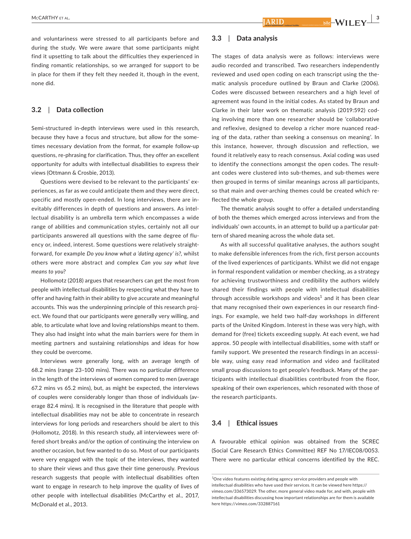and voluntariness were stressed to all participants before and during the study. We were aware that some participants might find it upsetting to talk about the difficulties they experienced in finding romantic relationships, so we arranged for support to be in place for them if they felt they needed it, though in the event, none did.

#### **3.2**  | **Data collection**

Semi-structured in-depth interviews were used in this research, because they have a focus and structure, but allow for the sometimes necessary deviation from the format, for example follow-up questions, re-phrasing for clarification. Thus, they offer an excellent opportunity for adults with intellectual disabilities to express their views (Ottmann & Crosbie, 2013).

Questions were devised to be relevant to the participants' experiences, as far as we could anticipate them and they were direct, specific and mostly open-ended. In long interviews, there are inevitably differences in depth of questions and answers. As intellectual disability is an umbrella term which encompasses a wide range of abilities and communication styles, certainly not all our participants answered all questions with the same degree of fluency or, indeed, interest. Some questions were relatively straightforward, for example *Do you know what a 'dating agency' is?*, whilst others were more abstract and complex *Can you say what love means to you*?

Hollomotz (2018) argues that researchers can get the most from people with intellectual disabilities by respecting what they have to offer and having faith in their ability to give accurate and meaningful accounts. This was the underpinning principle of this research project. We found that our participants were generally very willing, and able, to articulate what love and loving relationships meant to them. They also had insight into what the main barriers were for them in meeting partners and sustaining relationships and ideas for how they could be overcome.

Interviews were generally long, with an average length of 68.2 mins (range 23–100 mins). There was no particular difference in the length of the interviews of women compared to men (average 67.2 mins vs 65.2 mins), but, as might be expected, the interviews of couples were considerably longer than those of individuals (average 82.4 mins). It is recognised in the literature that people with intellectual disabilities may not be able to concentrate in research interviews for long periods and researchers should be alert to this (Hollomotz, 2018). In this research study, all interviewees were offered short breaks and/or the option of continuing the interview on another occasion, but few wanted to do so. Most of our participants were very engaged with the topic of the interviews, they wanted to share their views and thus gave their time generously. Previous research suggests that people with intellectual disabilities often want to engage in research to help improve the quality of lives of other people with intellectual disabilities (McCarthy et al., 2017, McDonald et al., 2013.

#### **3.3**  | **Data analysis**

The stages of data analysis were as follows: interviews were audio recorded and transcribed. Two researchers independently reviewed and used open coding on each transcript using the thematic analysis procedure outlined by Braun and Clarke (2006). Codes were discussed between researchers and a high level of agreement was found in the initial codes. As stated by Braun and Clarke in their later work on thematic analysis (2019:592) coding involving more than one researcher should be 'collaborative and reflexive, designed to develop a richer more nuanced reading of the data, rather than seeking a consensus on meaning'. In this instance, however, through discussion and reflection, we found it relatively easy to reach consensus. Axial coding was used to identify the connections amongst the open codes. The resultant codes were clustered into sub-themes, and sub-themes were then grouped in terms of similar meanings across all participants, so that main and over-arching themes could be created which reflected the whole group.

The thematic analysis sought to offer a detailed understanding of both the themes which emerged across interviews and from the individuals' own accounts, in an attempt to build up a particular pattern of shared meaning across the whole data set.

As with all successful qualitative analyses, the authors sought to make defensible inferences from the rich, first person accounts of the lived experiences of participants. Whilst we did not engage in formal respondent validation or member checking, as a strategy for achieving trustworthiness and credibility the authors widely shared their findings with people with intellectual disabilities through accessible workshops and videos $^1$  and it has been clear that many recognised their own experiences in our research findings. For example, we held two half-day workshops in different parts of the United Kingdom. Interest in these was very high, with demand for (free) tickets exceeding supply. At each event, we had approx. 50 people with intellectual disabilities, some with staff or family support. We presented the research findings in an accessible way, using easy read information and video and facilitated small group discussions to get people's feedback. Many of the participants with intellectual disabilities contributed from the floor, speaking of their own experiences, which resonated with those of the research participants.

#### **3.4**  | **Ethical issues**

A favourable ethical opinion was obtained from the SCREC (Social Care Research Ethics Committee) REF No 17/IEC08/0053. There were no particular ethical concerns identified by the REC.

<sup>&</sup>lt;sup>1</sup>One video features existing dating agency service providers and people with intellectual disabilities who have used their services. It can be viewed here [https://](https://vimeo.com/336573029) [vimeo.com/336573029](https://vimeo.com/336573029). The other, more general video made for, and with, people with intellectual disabilities discussing how important relationships are for them is available here <https://vimeo.com/332887161>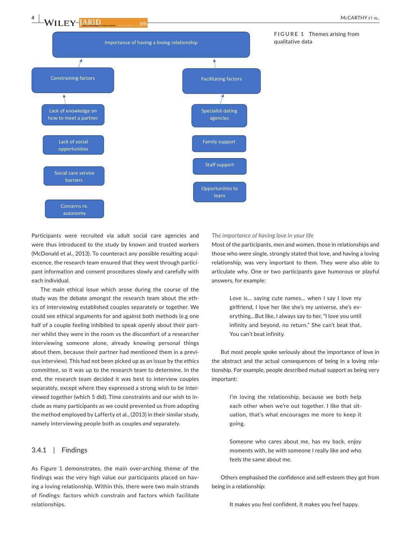**4 <sup>|</sup>** 



Participants were recruited via adult social care agencies and were thus introduced to the study by known and trusted workers (McDonald et al., 2013). To counteract any possible resulting acquiescence, the research team ensured that they went through participant information and consent procedures slowly and carefully with each individual.

The main ethical issue which arose during the course of the study was the debate amongst the research team about the ethics of interviewing established couples separately or together. We could see ethical arguments for and against both methods (e.g one half of a couple feeling inhibited to speak openly about their partner whilst they were in the room vs the discomfort of a researcher interviewing someone alone, already knowing personal things about them, because their partner had mentioned them in a previous interview). This had not been picked up as an issue by the ethics committee, so it was up to the research team to determine. In the end, the research team decided it was best to interview couples separately, except where they expressed a strong wish to be interviewed together (which 5 did). Time constraints and our wish to include as many participants as we could prevented us from adopting the method employed by Lafferty et al., (2013) in their similar study, namely interviewing people both as couples *and* separately.

#### 3.4.1 | Findings

As Figure 1 demonstrates, the main over-arching theme of the findings was the very high value our participants placed on having a loving relationship. Within this, there were two main strands of findings: factors which constrain and factors which facilitate relationships.

#### *The importance of having love in your life*

Most of the participants, men and women, those in relationships and those who were single, strongly stated that love, and having a loving relationship, was very important to them. They were also able to articulate why. One or two participants gave humorous or playful answers, for example:

> Love is… saying cute names… when I say I love my girlfriend, I love her like she's my universe, she's everything…But like, I always say to her, "I love you until infinity and beyond, no return." She can't beat that. You can't beat infinity.

But most people spoke seriously about the importance of love in the abstract and the actual consequences of being in a loving relationship. For example, people described mutual support as being very important:

> I'm loving the relationship, because we both help each other when we're out together. I like that situation, that's what encourages me more to keep it going.

> Someone who cares about me, has my back, enjoy moments with, be with someone I really like and who feels the same about me.

Others emphasised the confidence and self-esteem they got from being in a relationship:

It makes you feel confident, it makes you feel happy.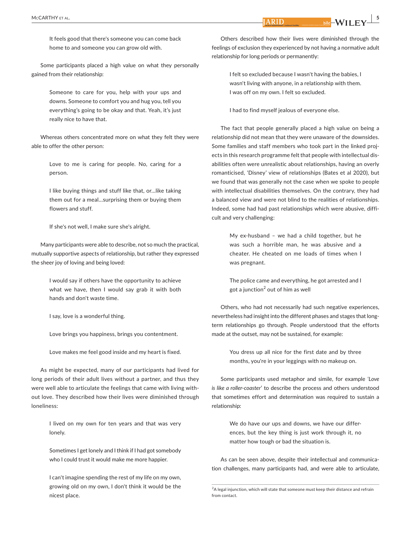It feels good that there's someone you can come back home to and someone you can grow old with.

Some participants placed a high value on what they personally gained from their relationship:

> Someone to care for you, help with your ups and downs. Someone to comfort you and hug you, tell you everything's going to be okay and that. Yeah, it's just really nice to have that.

Whereas others concentrated more on what they felt they were able to offer the other person:

Love to me is caring for people. No, caring for a person.

I like buying things and stuff like that, or…like taking them out for a meal…surprising them or buying them flowers and stuff.

If she's not well, I make sure she's alright.

Many participants were able to describe, not so much the practical, mutually supportive aspects of relationship, but rather they expressed the sheer joy of loving and being loved:

> I would say if others have the opportunity to achieve what we have, then I would say grab it with both hands and don't waste time.

I say, love is a wonderful thing.

Love brings you happiness, brings you contentment.

Love makes me feel good inside and my heart is fixed.

As might be expected, many of our participants had lived for long periods of their adult lives without a partner, and thus they were well able to articulate the feelings that came with living without love. They described how their lives were diminished through loneliness:

> I lived on my own for ten years and that was very lonely.

> Sometimes I get lonely and I think if I had got somebody who I could trust it would make me more happier.

> I can't imagine spending the rest of my life on my own, growing old on my own, I don't think it would be the nicest place.

Others described how their lives were diminished through the feelings of exclusion they experienced by not having a normative adult relationship for long periods or permanently:

> I felt so excluded because I wasn't having the babies, I wasn't living with anyone, in a relationship with them. I was off on my own. I felt so excluded.

I had to find myself jealous of everyone else.

The fact that people generally placed a high value on being a relationship did not mean that they were unaware of the downsides. Some families and staff members who took part in the linked projects in this research programme felt that people with intellectual disabilities often were unrealistic about relationships, having an overly romanticised, 'Disney' view of relationships (Bates et al 2020), but we found that was generally not the case when we spoke to people with intellectual disabilities themselves. On the contrary, they had a balanced view and were not blind to the realities of relationships. Indeed, some had had past relationships which were abusive, difficult and very challenging:

> My ex-husband – we had a child together, but he was such a horrible man, he was abusive and a cheater. He cheated on me loads of times when I was pregnant.

> The police came and everything, he got arrested and I got a junction<sup>2</sup> out of him as well

Others, who had not necessarily had such negative experiences, nevertheless had insight into the different phases and stages that longterm relationships go through. People understood that the efforts made at the outset, may not be sustained, for example:

> You dress up all nice for the first date and by three months, you're in your leggings with no makeup on.

Some participants used metaphor and simile, for example '*Love is like a roller*-*coaster*' to describe the process and others understood that sometimes effort and determination was required to sustain a relationship:

> We do have our ups and downs, we have our differences, but the key thing is just work through it, no matter how tough or bad the situation is.

As can be seen above, despite their intellectual and communication challenges, many participants had, and were able to articulate,

**Example 1**  $\frac{1}{2}$  bild  $\frac{1}{2}$  WILEY  $\frac{1}{2}$ 

<sup>&</sup>lt;sup>2</sup>A legal injunction, which will state that someone must keep their distance and refrain from contact.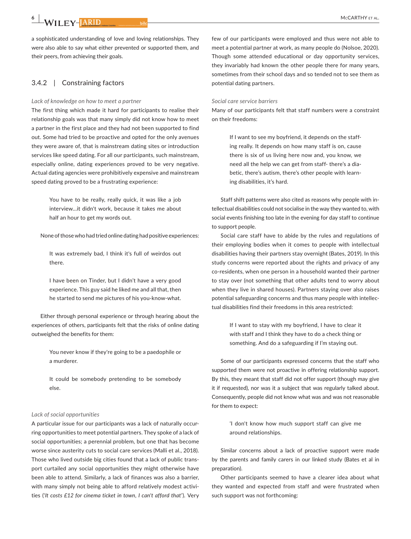**6 <sup>|</sup>** 

a sophisticated understanding of love and loving relationships. They were also able to say what either prevented or supported them, and their peers, from achieving their goals.

#### 3.4.2 | Constraining factors

#### *Lack of knowledge on how to meet a partner*

The first thing which made it hard for participants to realise their relationship goals was that many simply did not know how to meet a partner in the first place and they had not been supported to find out. Some had tried to be proactive and opted for the only avenues they were aware of, that is mainstream dating sites or introduction services like speed dating. For all our participants, such mainstream, especially online, dating experiences proved to be very negative. Actual dating agencies were prohibitively expensive and mainstream speed dating proved to be a frustrating experience:

> You have to be really, really quick, it was like a job interview…it didn't work, because it takes me about half an hour to get my words out.

None of those who had tried online dating had positive experiences:

It was extremely bad, I think it's full of weirdos out there.

I have been on Tinder, but I didn't have a very good experience. This guy said he liked me and all that, then he started to send me pictures of his you-know-what.

Either through personal experience or through hearing about the experiences of others, participants felt that the risks of online dating outweighed the benefits for them:

> You never know if they're going to be a paedophile or a murderer.

> It could be somebody pretending to be somebody else.

#### *Lack of social opportunities*

A particular issue for our participants was a lack of naturally occurring opportunities to meet potential partners. They spoke of a lack of social opportunities; a perennial problem, but one that has become worse since austerity cuts to social care services (Malli et al., 2018). Those who lived outside big cities found that a lack of public transport curtailed any social opportunities they might otherwise have been able to attend. Similarly, a lack of finances was also a barrier, with many simply not being able to afford relatively modest activities ('*It costs £12 for cinema ticket in town*, *I can't afford that*'). Very

few of our participants were employed and thus were not able to meet a potential partner at work, as many people do (Nolsoe, 2020). Though some attended educational or day opportunity services, they invariably had known the other people there for many years, sometimes from their school days and so tended not to see them as potential dating partners.

#### *Social care service barriers*

Many of our participants felt that staff numbers were a constraint on their freedoms:

> If I want to see my boyfriend, it depends on the staffing really. It depends on how many staff is on, cause there is six of us living here now and, you know, we need all the help we can get from staff- there's a diabetic, there's autism, there's other people with learning disabilities, it's hard.

Staff shift patterns were also cited as reasons why people with intellectual disabilities could not socialise in the way they wanted to, with social events finishing too late in the evening for day staff to continue to support people.

Social care staff have to abide by the rules and regulations of their employing bodies when it comes to people with intellectual disabilities having their partners stay overnight (Bates, 2019). In this study concerns were reported about the rights and privacy of any co-residents, when one person in a household wanted their partner to stay over (not something that other adults tend to worry about when they live in shared houses). Partners staying over also raises potential safeguarding concerns and thus many people with intellectual disabilities find their freedoms in this area restricted:

> If I want to stay with my boyfriend, I have to clear it with staff and I think they have to do a check thing or something. And do a safeguarding if I'm staying out.

Some of our participants expressed concerns that the staff who supported them were not proactive in offering relationship support. By this, they meant that staff did not offer support (though may give it if requested), nor was it a subject that was regularly talked about. Consequently, people did not know what was and was not reasonable for them to expect:

> 'I don't know how much support staff can give me around relationships.

Similar concerns about a lack of proactive support were made by the parents and family carers in our linked study (Bates et al in preparation).

Other participants seemed to have a clearer idea about what they wanted and expected from staff and were frustrated when such support was not forthcoming: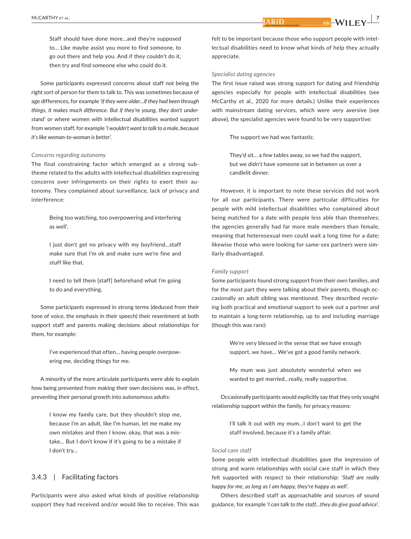**Example 1**  $\frac{1}{2}$  bild  $\frac{1}{2}$ 

Staff should have done more…and they're supposed to… Like maybe assist you more to find someone, to go out there and help you. And if they couldn't do it, then try and find someone else who could do it.

Some participants expressed concerns about staff not being the right sort of person for them to talk to. This was sometimes because of age differences, for example '*if they were older*…*if they had been through things*, *it makes much difference*. *But if they're young*, *they don't understand'* or where women with intellectual disabilities wanted support from women staff, for example '*I wouldn't want to talk to a male*, *because it's like woman*-*to*-*woman is better*'.

#### *Concerns regarding autonomy*

The final constraining factor which emerged as a strong subtheme related to the adults with intellectual disabilities expressing concerns over infringements on their rights to exert their autonomy. They complained about surveillance, lack of privacy and interference:

> Being too watching, too overpowering and interfering as well'.

> I just don't get no privacy with my boyfriend…staff make sure that I'm ok and make sure we're fine and stuff like that.

> I need to tell them [staff] beforehand what I'm going to do and everything.

Some participants expressed in strong terms (deduced from their tone of voice, the emphasis in their speech) their resentment at both support staff and parents making decisions about relationships for them, for example:

> I've experienced that often… having people overpowering me, deciding things for me.

A minority of the more articulate participants were able to explain how being prevented from making their own decisions was, in effect, preventing their personal growth into autonomous adults:

> I know my family care, but they shouldn't stop me, because I'm an adult, like I'm human, let me make my own mistakes and then I know, okay, that was a mistake… But I don't know if it's going to be a mistake if I don't try…

#### 3.4.3 | Facilitating factors

Participants were also asked what kinds of positive relationship support they had received and/or would like to receive. This was

felt to be important because those who support people with intellectual disabilities need to know what kinds of help they actually appreciate.

#### *Specialist dating agencies*

The first issue raised was strong support for dating and friendship agencies especially for people with intellectual disabilities (see McCarthy et al., 2020 for more details.) Unlike their experiences with mainstream dating services, which were very aversive (see above), the specialist agencies were found to be very supportive:

The support we had was fantastic.

They'd sit… a few tables away, so we had the support, but we didn't have someone sat in between us over a candlelit dinner.

However, it is important to note these services did not work for all our participants. There were particular difficulties for people with mild intellectual disabilities who complained about being matched for a date with people less able than themselves; the agencies generally had far more male members than female, meaning that heterosexual men could wait a long time for a date; likewise those who were looking for same-sex partners were similarly disadvantaged.

#### *Family support*

Some participants found strong support from their own families, and for the most part they were talking about their parents, though occasionally an adult sibling was mentioned. They described receiving both practical and emotional support to seek out a partner and to maintain a long-term relationship, up to and including marriage (though this was rare):

> We're very blessed in the sense that we have enough support, we have… We've got a good family network.

> My mum was just absolutely wonderful when we wanted to get married…really, really supportive.

Occasionally participants would explicitly say that they only sought relationship support within the family, for privacy reasons:

> I'll talk it out with my mum…I don't want to get the staff involved, because it's a family affair.

#### *Social care staff*

Some people with intellectual disabilities gave the impression of strong and warm relationships with social care staff in which they felt supported with respect to their relationship: '*Staff are really happy for me*, *as long as I am happy*, *they're happy as well*'.

Others described staff as approachable and sources of sound guidance, for example '*I can talk to the staff…they do give good advice*'.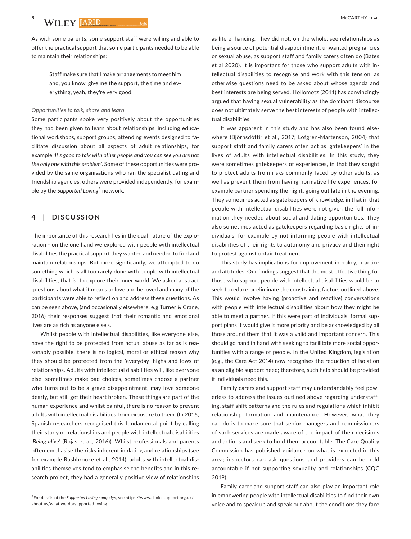As with some parents, some support staff were willing and able to offer the practical support that some participants needed to be able to maintain their relationships:

> Staff make sure that I make arrangements to meet him and, you know, give me the support, the time and everything, yeah, they're very good.

#### *Opportunities to talk, share and learn*

Some participants spoke very positively about the opportunities they had been given to learn about relationships, including educational workshops, support groups, attending events designed to facilitate discussion about all aspects of adult relationships, for example '*It's good to talk with other people and you can see you are not the only one with this problem*'. Some of these opportunities were provided by the same organisations who ran the specialist dating and friendship agencies, others were provided independently, for example by the *Supported Loving*<sup>3</sup> network.

#### **4**  | **DISCUSSION**

The importance of this research lies in the dual nature of the exploration - on the one hand we explored with people with intellectual disabilities the practical support they wanted and needed to find and maintain relationships. But more significantly, we attempted to do something which is all too rarely done with people with intellectual disabilities, that is, to explore their inner world. We asked abstract questions about what it means to love and be loved and many of the participants were able to reflect on and address these questions. As can be seen above, (and occasionally elsewhere, e.g Turner & Crane, 2016) their responses suggest that their romantic and emotional lives are as rich as anyone else's.

Whilst people with intellectual disabilities, like everyone else, have the right to be protected from actual abuse as far as is reasonably possible, there is no logical, moral or ethical reason why they should be protected from the 'everyday' highs and lows of relationships. Adults with intellectual disabilities will, like everyone else, sometimes make bad choices, sometimes choose a partner who turns out to be a grave disappointment, may love someone dearly, but still get their heart broken. These things are part of the human experience and whilst painful, there is no reason to prevent adults with intellectual disabilities from exposure to them. (In 2016, Spanish researchers recognised this fundamental point by calling their study on relationships and people with intellectual disabilities '*Being alive*' (Rojas et al., 2016)). Whilst professionals and parents often emphasise the risks inherent in dating and relationships (see for example Rushbrooke et al., 2014), adults with intellectual disabilities themselves tend to emphasise the benefits and in this research project, they had a generally positive view of relationships

as life enhancing. They did not, on the whole, see relationships as being a source of potential disappointment, unwanted pregnancies or sexual abuse, as support staff and family carers often do (Bates et al 2020). It is important for those who support adults with intellectual disabilities to recognise and work with this tension, as otherwise questions need to be asked about whose agenda and best interests are being served. Hollomotz (2011) has convincingly argued that having sexual vulnerability as the dominant discourse does not ultimately serve the best interests of people with intellectual disabilities.

It was apparent in this study and has also been found elsewhere (Björnsdóttir et al., 2017; Lofgren-Martenson, 2004) that support staff and family carers often act as 'gatekeepers' in the lives of adults with intellectual disabilities. In this study, they were sometimes gatekeepers of experiences, in that they sought to protect adults from risks commonly faced by other adults, as well as prevent them from having normative life experiences, for example partner spending the night, going out late in the evening. They sometimes acted as gatekeepers of knowledge, in that in that people with intellectual disabilities were not given the full information they needed about social and dating opportunities. They also sometimes acted as gatekeepers regarding basic rights of individuals, for example by not informing people with intellectual disabilities of their rights to autonomy and privacy and their right to protest against unfair treatment.

This study has implications for improvement in policy, practice and attitudes. Our findings suggest that the most effective thing for those who support people with intellectual disabilities would be to seek to reduce or eliminate the constraining factors outlined above. This would involve having (proactive and reactive) conversations with people with intellectual disabilities about how they might be able to meet a partner. If this were part of individuals' formal support plans it would give it more priority and be acknowledged by all those around them that it was a valid and important concern. This should go hand in hand with seeking to facilitate more social opportunities with a range of people. In the United Kingdom, legislation (e.g., the Care Act 2014) now recognises the reduction of isolation as an eligible support need; therefore, such help should be provided if individuals need this.

Family carers and support staff may understandably feel powerless to address the issues outlined above regarding understaffing, staff shift patterns and the rules and regulations which inhibit relationship formation and maintenance. However, what they can do is to make sure that senior managers and commissioners of such services are made aware of the impact of their decisions and actions and seek to hold them accountable. The Care Quality Commission has published guidance on what is expected in this area; inspectors can ask questions and providers can be held accountable if not supporting sexuality and relationships (CQC 2019).

Family carer and support staff can also play an important role in empowering people with intellectual disabilities to find their own voice and to speak up and speak out about the conditions they face

<sup>3</sup> For details of the *Supported Loving campaign*, see [https://www.choicesupport.org.uk/](https://www.choicesupport.org.uk/about-us/what-we-do/supported-loving) [about-us/what-we-do/supported-loving](https://www.choicesupport.org.uk/about-us/what-we-do/supported-loving)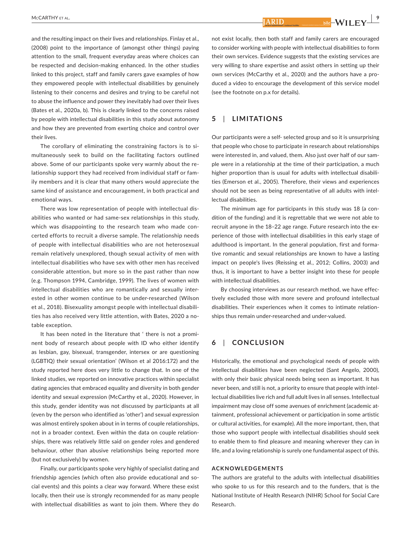and the resulting impact on their lives and relationships. Finlay et al., (2008) point to the importance of (amongst other things) paying attention to the small, frequent everyday areas where choices can be respected and decision-making enhanced. In the other studies linked to this project, staff and family carers gave examples of how they empowered people with intellectual disabilities by genuinely listening to their concerns and desires and trying to be careful not to abuse the influence and power they inevitably had over their lives (Bates et al., 2020a, b). This is clearly linked to the concerns raised by people with intellectual disabilities in this study about autonomy and how they are prevented from exerting choice and control over their lives.

The corollary of eliminating the constraining factors is to simultaneously seek to build on the facilitating factors outlined above. Some of our participants spoke very warmly about the relationship support they had received from individual staff or family members and it is clear that many others would appreciate the same kind of assistance and encouragement, in both practical and emotional ways.

There was low representation of people with intellectual disabilities who wanted or had same-sex relationships in this study, which was disappointing to the research team who made concerted efforts to recruit a diverse sample. The relationship needs of people with intellectual disabilities who are not heterosexual remain relatively unexplored, though sexual activity of men with intellectual disabilities who have sex with other men has received considerable attention, but more so in the past rather than now (e.g. Thompson 1994, Cambridge, 1999). The lives of women with intellectual disabilities who are romantically and sexually interested in other women continue to be under-researched (Wilson et al., 2018). Bisexuality amongst people with intellectual disabilities has also received very little attention, with Bates, 2020 a notable exception.

It has been noted in the literature that ' there is not a prominent body of research about people with ID who either identify as lesbian, gay, bisexual, transgender, intersex or are questioning (LGBTIQ) their sexual orientation' (Wilson et al 2016:172) and the study reported here does very little to change that. In one of the linked studies, we reported on innovative practices within specialist dating agencies that embraced equality and diversity in both gender identity and sexual expression (McCarthy et al., 2020). However, in this study, gender identity was not discussed by participants at all (even by the person who identified as 'other') and sexual expression was almost entirely spoken about in in terms of couple relationships, not in a broader context. Even within the data on couple relationships, there was relatively little said on gender roles and gendered behaviour, other than abusive relationships being reported more (but not exclusively) by women.

Finally, our participants spoke very highly of specialist dating and friendship agencies (which often also provide educational and social events) and this points a clear way forward. Where these exist locally, then their use is strongly recommended for as many people with intellectual disabilities as want to join them. Where they do

not exist locally, then both staff and family carers are encouraged to consider working with people with intellectual disabilities to form their own services. Evidence suggests that the existing services are very willing to share expertise and assist others in setting up their own services (McCarthy et al., 2020) and the authors have a produced a video to encourage the development of this service model (see the footnote on p.x for details).

#### **5**  | **LIMITATIONS**

Our participants were a self- selected group and so it is unsurprising that people who chose to participate in research about relationships were interested in, and valued, them. Also just over half of our sample were in a relationship at the time of their participation, a much higher proportion than is usual for adults with intellectual disabilities (Emerson et al., 2005). Therefore, their views and experiences should not be seen as being representative of all adults with intellectual disabilities.

The minimum age for participants in this study was 18 (a condition of the funding) and it is regrettable that we were not able to recruit anyone in the 18–22 age range. Future research into the experience of those with intellectual disabilities in this early stage of adulthood is important. In the general population, first and formative romantic and sexual relationships are known to have a lasting impact on people's lives (Reissing et al., 2012; Collins, 2003) and thus, it is important to have a better insight into these for people with intellectual disabilities.

By choosing interviews as our research method, we have effectively excluded those with more severe and profound intellectual disabilities. Their experiences when it comes to intimate relationships thus remain under-researched and under-valued.

#### **6**  | **CONCLUSION**

Historically, the emotional and psychological needs of people with intellectual disabilities have been neglected (Sant Angelo, 2000), with only their basic physical needs being seen as important. It has never been, and still is not, a priority to ensure that people with intellectual disabilities live rich and full adult lives in all senses. Intellectual impairment may close off some avenues of enrichment (academic attainment, professional achievement or participation in some artistic or cultural activities, for example). All the more important, then, that those who support people with intellectual disabilities should seek to enable them to find pleasure and meaning wherever they can in life, and a loving relationship is surely one fundamental aspect of this.

#### **ACKNOWLEDGEMENTS**

The authors are grateful to the adults with intellectual disabilities who spoke to us for this research and to the funders, that is the National Institute of Health Research (NIHR) School for Social Care Research.

**ARID**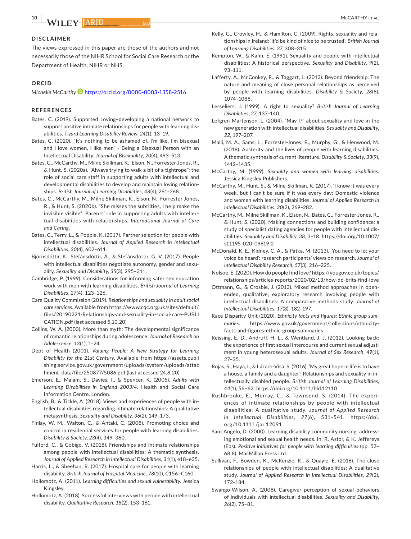#### **DISCLAIMER**

The views expressed in this paper are those of the authors and not necessarily those of the NIHR School for Social Care Research or the Department of Health, NIHR or NHS.

#### **ORCID**

*Michelle McCarthy* <https://orcid.org/0000-0003-1358-2516>

#### **REFERENCES**

- Bates, C. (2019). Supported Loving–developing a national network to support positive intimate relationships for people with learning disabilities. *Tizard Learning Disability Review*, *24*(1), 13–19.
- Bates, C. (2020). "It's nothing to be ashamed of, I'm like, I'm bisexual and I love women, I like men" - Being a Bisexual Person with an Intellectual Disability. *Journal of Bisexuality*, *20*(4), 493–513.
- Bates, C., McCarthy, M., Milne Skillman, K., Elson, N., Forrester-Jones, R., & Hunt, S. (2020a). "Always trying to walk a bit of a tightrope": the role of social care staff in supporting adults with intellectual and developmental disabilities to develop and maintain loving relationships. *British Journal of Learning Disabilities*, *48*(4), 261–268.
- Bates, C., McCarthy, M., Milne Skillman, K., Elson, N., Forrester-Jones, R., & Hunt, S. (2020b). "She misses the subtilties, I help make the invisible visible": Parents' role in supporting adults with intellectual disabilities with relationships. *International Journal of Care and Caring*.
- Bates, C., Terry, L., & Popple, K. (2017). Partner selection for people with intellectual disabilities. *Journal of Applied Research in Intellectual Disabilities*, *30*(4), 602–611.
- Björnsdóttir, K., Stefánsdóttir, Á., & Stefánsdóttir, G. V. (2017). People with intellectual disabilities negotiate autonomy, gender and sexuality. *Sexuality and Disability*, *35*(3), 295–311.
- Cambridge, P. (1999). Considerations for informing safer sex education work with men with learning disabilities. *British Journal of Learning Disabilities*, *27*(4), 123–126.
- Care Quality Commission (2019). *Relationships and sexuality in adult social care services*. Available from [https://www.cqc.org.uk/sites/default/](https://www.cqc.org.uk/sites/default/files/20190221-Relationships-and-sexuality-in-social-care-PUBLICATION.pdf) [files/20190221-Relationships-and-sexuality-in-social-care-PUBLI](https://www.cqc.org.uk/sites/default/files/20190221-Relationships-and-sexuality-in-social-care-PUBLICATION.pdf) [CATION.pdf](https://www.cqc.org.uk/sites/default/files/20190221-Relationships-and-sexuality-in-social-care-PUBLICATION.pdf) (last accessed 5.10.20)
- Collins, W. A. (2003). More than myth: The developmental significance of romantic relationships during adolescence. *Journal of Research on Adolescence*, *13*(1), 1–24.
- Dept of Health (2001). *Valuing People: A New Strategy for Learning Disability for the 21st Century*. Available from [https://assets.publi](https://assets.publishing.service.gov.uk/government/uploads/system/uploads/attachment_data/file/250877/5086.pdf) [shing.service.gov.uk/government/uploads/system/uploads/attac](https://assets.publishing.service.gov.uk/government/uploads/system/uploads/attachment_data/file/250877/5086.pdf) [hment\\_data/file/250877/5086.pdf](https://assets.publishing.service.gov.uk/government/uploads/system/uploads/attachment_data/file/250877/5086.pdf) (last accessed 24.8.20)
- Emerson, E., Malam, S., Davies, I., & Spencer, K. (2005). *Adults with Learning Disabilities in England 2003/4*. Health and Social Care Information Centre, London.
- English, B., & Tickle, A. (2018). Views and experiences of people with intellectual disabilities regarding intimate relationships: A qualitative metasynthesis. *Sexuality and Disability*, *36*(2), 149–173.
- Finlay, W. M., Walton, C., & Antaki, C. (2008). Promoting choice and control in residential services for people with learning disabilities. *Disability & Society*, *23*(4), 349–360.
- Fulford, C., & Cobigo, V. (2018). Friendships and intimate relationships among people with intellectual disabilities: A thematic synthesis. *Journal of Applied Research in Intellectual Disabilities*, *31*(1), e18–e35.
- Harris, L., & Sheehan, R. (2017). Hospital care for people with learning disability. *British Journal of Hospital Medicine*, *78*(10), C156–C160.
- Hollomotz, A. (2011). *Learning difficulties and sexual vulnerability*. Jessica Kingsley.
- Hollomotz, A. (2018). Successful interviews with people with intellectual disability. *Qualitative Research*, *18*(2), 153–161.
- Kelly, G., Crowley, H., & Hamilton, C. (2009). Rights, sexuality and relationships in Ireland: 'it'd be kind of nice to be trusted'. *British Journal of Learning Disabilities*, *37*, 308–315.
- Kempton, W., & Kahn, E. (1991). Sexuality and people with intellectual disabilities: A historical perspective. *Sexuality and Disability*, *9*(2), 93–111.
- Lafferty, A., McConkey, R., & Taggart, L. (2013). Beyond friendship: The nature and meaning of close personal relationships as perceived by people with learning disabilities. *Disability & Society*, *28*(8), 1074–1088.
- Lesseliers, J. (1999). A right to sexuality? *British Journal of Learning Disabilities*, *27*, 137–140.
- Lofgren-Martenson, L. (2004). "May I?" about sexuality and love in the new generation with intellectual disabilities. *Sexuality and Disability*, *22*, 197–207.
- Malli, M. A., Sams, L., Forrester-Jones, R., Murphy, G., & Henwood, M. (2018). Austerity and the lives of people with learning disabilities. A thematic synthesis of current literature. *Disability & Society*, *33*(9), 1412–1435.
- McCarthy, M. (1999). *Sexuality and women with learning disabilities*. Jessica Kingsley Publishers.
- McCarthy, M., Hunt, S., & Milne-Skillman, K. (2017). 'I know it was every week, but I can't be sure if it was every day: Domestic violence and women with learning disabilities. *Journal of Applied Research in Intellectual Disabilities*, *30*(2), 269–282.
- McCarthy, M., Milne Skillman, K., Elson, N., Bates, C., Forrester-Jones, R., & Hunt, S. (2020). Making connections and building confidence: a study of specialist dating agencies for people with intellectual disabilities. *Sexuality and Disability*, *38*, 3–18. [https://doi.org/10.1007/](https://doi.org/10.1007/s11195-020-09619-2) [s11195-020-09619-2](https://doi.org/10.1007/s11195-020-09619-2)
- McDonald, K. E., Kidney, C. A., & Patka, M. (2013). 'You need to let your voice be heard': research participants' views on research. *Journal of Intellectual Disability Research*, *57*(3), 216–225.
- Nolsoe, E. (2020). How do people find love? [https://yougov.co.uk/topics/](https://yougov.co.uk/topics/relationships/articles-reports/2020/02/13/how-do-brits-find-love) [relationships/articles-reports/2020/02/13/how-do-brits-find-love](https://yougov.co.uk/topics/relationships/articles-reports/2020/02/13/how-do-brits-find-love)
- Ottmann, G., & Crosbie, J. (2013). Mixed method approaches in openended, qualitative, exploratory research involving people with intellectual disabilities: A comparative methods study. *Journal of Intellectual Disabilities*, *17*(3), 182–197.
- Race Disparity Unit (2020). *Ethnicity facts and figures: Ethnic group summaries*. [https://www.gov.uk/government/collections/ethnicity](https://www.gov.uk/government/collections/ethnicity-facts-and-figures-ethnic-group-summaries)[facts-and-figures-ethnic-group-summaries](https://www.gov.uk/government/collections/ethnicity-facts-and-figures-ethnic-group-summaries)
- Reissing, E. D., Andruff, H. L., & Wentland, J. J. (2012). Looking back: the experience of first sexual intercourse and current sexual adjustment in young heterosexual adults. *Journal of Sex Research*, *49*(1), 27–35.
- Rojas, S., Haya, I., & Lázaro-Visa, S. (2016). 'My great hope in life is to have a house, a family and a daughter': Relationships and sexuality in intellectually disabled people. *British Journal of Learning Disabilities*, *44*(1), 56–62.<https://doi.org/10.1111/bld.12110>
- Rushbrooke, E., Murray, C., & Townsend, S. (2014). The experiences of intimate relationships by people with intellectual disabilities: A qualitative study. *Journal of Applied Research in Intellectual Disabilities*, *27*(6), 531–541. [https://doi.](https://doi.org/10.1111/jar.12091) [org/10.1111/jar.12091](https://doi.org/10.1111/jar.12091)
- Sant Angelo, D. (2000). Learning disability community nursing: addressing emotional and sexual health needs. In: R. Astor, & K. Jeffereys (Eds). *Positive initiatives for people with learning difficulties* (pp. 52– 68.8). MacMillan Press Ltd.
- Sullivan, F., Bowden, K., McKenzie, K., & Quayle, E. (2016). The close relationships of people with intellectual disabilities: A qualitative study. *Journal of Applied Research in Intellectual Disabilities*, *29*(2), 172–184.
- Swango-Wilson, A. (2008). Caregiver perception of sexual behaviors of individuals with intellectual disabilities. *Sexuality and Disability*, *26*(2), 75–81.